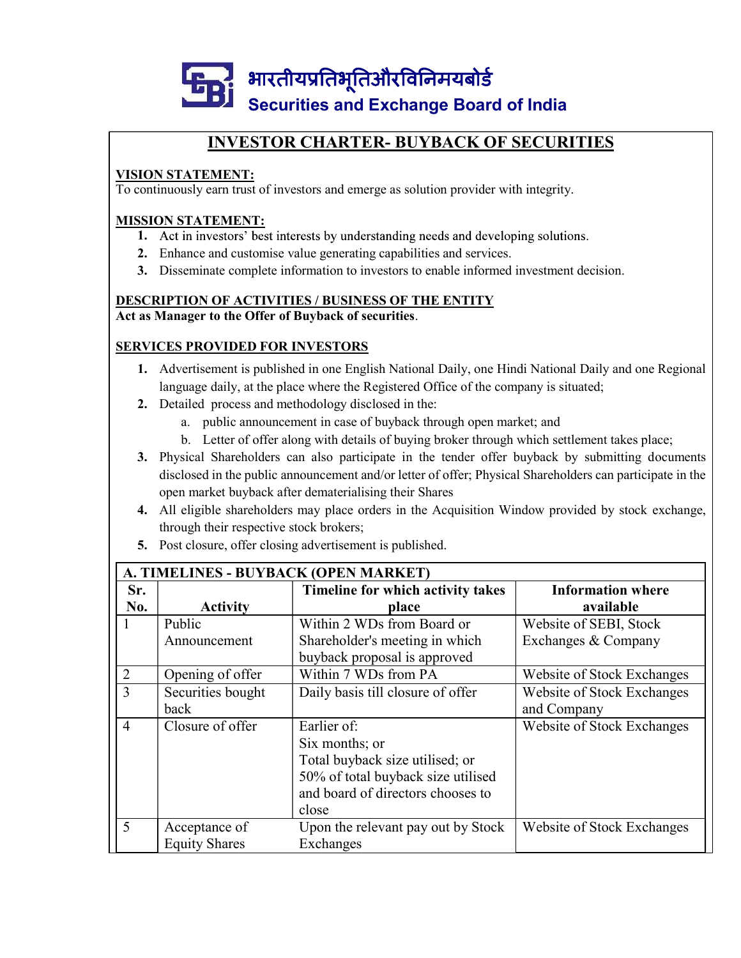

#### VISION STATEMENT:

To continuously earn trust of investors and emerge as solution provider with integrity.

#### MISSION STATEMENT:

- 1. Act in investors' best interests by understanding needs and developing solutions.
- 
- 3. Disseminate complete information to investors to enable informed investment decision.

## DESCRIPTION OF ACTIVITIES / BUSINESS OF THE ENTITY

#### SERVICES PROVIDED FOR INVESTORS

- 1. Advertisement is published in one English National Daily, one Hindi National Daily and one Regional language daily, at the place where the Registered Office of the company is situated;
- 2. Detailed process and methodology disclosed in the:
	-
	-
- **INVESTOR CHARTER- BUYBACK OF SECURITIES**<br> **ATEMENT:**<br>
usly earn trust of investors and emerge as solution provider with integrity.<br>
FIATEMENT:<br>
in investors' best interests by understanding needs and developing solutions. **INVESTOR CHARTER- BUVBACK OF SECURITIES**<br> **EXEMENT:**<br>
usly carn trust of investors and emerge as solution provider with integrity.<br> **EXTEMENT:**<br>
in investors best interests by understanding needs and developing solutions. 3. Physical Shareholders can also participate in the tender offer buyback by submitting documents disclosed in the public announcement and/or letter of offer; Physical Shareholders can participate in the open market buyback after dematerialising their Shares
- 4. All eligible shareholders may place orders in the Acquisition Window provided by stock exchange, through their respective stock brokers;
- 5. Post closure, offer closing advertisement is published.

| 3. Disseminate complete information to investors to enable informed investment decision.<br><b>DESCRIPTION OF ACTIVITIES / BUSINESS OF THE ENTITY</b><br>Act as Manager to the Offer of Buyback of securities.<br><b>SERVICES PROVIDED FOR INVESTORS</b><br>1. Advertisement is published in one English National Daily, one Hindi National Daily and one Regional<br>language daily, at the place where the Registered Office of the company is situated;<br>2. Detailed process and methodology disclosed in the:<br>a. public announcement in case of buyback through open market; and<br>b. Letter of offer along with details of buying broker through which settlement takes place;<br>Physical Shareholders can also participate in the tender offer buyback by submitting documents<br>3.<br>disclosed in the public announcement and/or letter of offer; Physical Shareholders can participate in the<br>open market buyback after dematerialising their Shares<br>4. All eligible shareholders may place orders in the Acquisition Window provided by stock exchange,<br>through their respective stock brokers;<br>Post closure, offer closing advertisement is published.<br>5.<br>A. TIMELINES - BUYBACK (OPEN MARKET)<br>Sr.<br>Timeline for which activity takes<br><b>Information where</b><br>No.<br><b>Activity</b><br>available<br>place<br>Public<br>Within 2 WDs from Board or<br>Website of SEBI, Stock<br>1 |
|------------------------------------------------------------------------------------------------------------------------------------------------------------------------------------------------------------------------------------------------------------------------------------------------------------------------------------------------------------------------------------------------------------------------------------------------------------------------------------------------------------------------------------------------------------------------------------------------------------------------------------------------------------------------------------------------------------------------------------------------------------------------------------------------------------------------------------------------------------------------------------------------------------------------------------------------------------------------------------------------------------------------------------------------------------------------------------------------------------------------------------------------------------------------------------------------------------------------------------------------------------------------------------------------------------------------------------------------------------------------------------------------------------------------------------|
|                                                                                                                                                                                                                                                                                                                                                                                                                                                                                                                                                                                                                                                                                                                                                                                                                                                                                                                                                                                                                                                                                                                                                                                                                                                                                                                                                                                                                                    |
|                                                                                                                                                                                                                                                                                                                                                                                                                                                                                                                                                                                                                                                                                                                                                                                                                                                                                                                                                                                                                                                                                                                                                                                                                                                                                                                                                                                                                                    |
|                                                                                                                                                                                                                                                                                                                                                                                                                                                                                                                                                                                                                                                                                                                                                                                                                                                                                                                                                                                                                                                                                                                                                                                                                                                                                                                                                                                                                                    |
|                                                                                                                                                                                                                                                                                                                                                                                                                                                                                                                                                                                                                                                                                                                                                                                                                                                                                                                                                                                                                                                                                                                                                                                                                                                                                                                                                                                                                                    |
|                                                                                                                                                                                                                                                                                                                                                                                                                                                                                                                                                                                                                                                                                                                                                                                                                                                                                                                                                                                                                                                                                                                                                                                                                                                                                                                                                                                                                                    |
|                                                                                                                                                                                                                                                                                                                                                                                                                                                                                                                                                                                                                                                                                                                                                                                                                                                                                                                                                                                                                                                                                                                                                                                                                                                                                                                                                                                                                                    |
|                                                                                                                                                                                                                                                                                                                                                                                                                                                                                                                                                                                                                                                                                                                                                                                                                                                                                                                                                                                                                                                                                                                                                                                                                                                                                                                                                                                                                                    |
|                                                                                                                                                                                                                                                                                                                                                                                                                                                                                                                                                                                                                                                                                                                                                                                                                                                                                                                                                                                                                                                                                                                                                                                                                                                                                                                                                                                                                                    |
|                                                                                                                                                                                                                                                                                                                                                                                                                                                                                                                                                                                                                                                                                                                                                                                                                                                                                                                                                                                                                                                                                                                                                                                                                                                                                                                                                                                                                                    |
|                                                                                                                                                                                                                                                                                                                                                                                                                                                                                                                                                                                                                                                                                                                                                                                                                                                                                                                                                                                                                                                                                                                                                                                                                                                                                                                                                                                                                                    |
|                                                                                                                                                                                                                                                                                                                                                                                                                                                                                                                                                                                                                                                                                                                                                                                                                                                                                                                                                                                                                                                                                                                                                                                                                                                                                                                                                                                                                                    |
|                                                                                                                                                                                                                                                                                                                                                                                                                                                                                                                                                                                                                                                                                                                                                                                                                                                                                                                                                                                                                                                                                                                                                                                                                                                                                                                                                                                                                                    |
|                                                                                                                                                                                                                                                                                                                                                                                                                                                                                                                                                                                                                                                                                                                                                                                                                                                                                                                                                                                                                                                                                                                                                                                                                                                                                                                                                                                                                                    |
|                                                                                                                                                                                                                                                                                                                                                                                                                                                                                                                                                                                                                                                                                                                                                                                                                                                                                                                                                                                                                                                                                                                                                                                                                                                                                                                                                                                                                                    |
|                                                                                                                                                                                                                                                                                                                                                                                                                                                                                                                                                                                                                                                                                                                                                                                                                                                                                                                                                                                                                                                                                                                                                                                                                                                                                                                                                                                                                                    |
|                                                                                                                                                                                                                                                                                                                                                                                                                                                                                                                                                                                                                                                                                                                                                                                                                                                                                                                                                                                                                                                                                                                                                                                                                                                                                                                                                                                                                                    |
|                                                                                                                                                                                                                                                                                                                                                                                                                                                                                                                                                                                                                                                                                                                                                                                                                                                                                                                                                                                                                                                                                                                                                                                                                                                                                                                                                                                                                                    |
|                                                                                                                                                                                                                                                                                                                                                                                                                                                                                                                                                                                                                                                                                                                                                                                                                                                                                                                                                                                                                                                                                                                                                                                                                                                                                                                                                                                                                                    |
|                                                                                                                                                                                                                                                                                                                                                                                                                                                                                                                                                                                                                                                                                                                                                                                                                                                                                                                                                                                                                                                                                                                                                                                                                                                                                                                                                                                                                                    |
| Shareholder's meeting in which<br>Exchanges & Company<br>Announcement<br>buyback proposal is approved                                                                                                                                                                                                                                                                                                                                                                                                                                                                                                                                                                                                                                                                                                                                                                                                                                                                                                                                                                                                                                                                                                                                                                                                                                                                                                                              |
| Within 7 WDs from PA<br>Opening of offer<br>Website of Stock Exchanges<br>$\overline{2}$                                                                                                                                                                                                                                                                                                                                                                                                                                                                                                                                                                                                                                                                                                                                                                                                                                                                                                                                                                                                                                                                                                                                                                                                                                                                                                                                           |
| $\overline{3}$<br>Securities bought<br>Daily basis till closure of offer<br>Website of Stock Exchanges                                                                                                                                                                                                                                                                                                                                                                                                                                                                                                                                                                                                                                                                                                                                                                                                                                                                                                                                                                                                                                                                                                                                                                                                                                                                                                                             |
| back<br>and Company                                                                                                                                                                                                                                                                                                                                                                                                                                                                                                                                                                                                                                                                                                                                                                                                                                                                                                                                                                                                                                                                                                                                                                                                                                                                                                                                                                                                                |
| Closure of offer<br>Earlier of:<br>Website of Stock Exchanges<br>$\overline{4}$                                                                                                                                                                                                                                                                                                                                                                                                                                                                                                                                                                                                                                                                                                                                                                                                                                                                                                                                                                                                                                                                                                                                                                                                                                                                                                                                                    |
| Six months; or                                                                                                                                                                                                                                                                                                                                                                                                                                                                                                                                                                                                                                                                                                                                                                                                                                                                                                                                                                                                                                                                                                                                                                                                                                                                                                                                                                                                                     |
| Total buyback size utilised; or                                                                                                                                                                                                                                                                                                                                                                                                                                                                                                                                                                                                                                                                                                                                                                                                                                                                                                                                                                                                                                                                                                                                                                                                                                                                                                                                                                                                    |
| 50% of total buyback size utilised                                                                                                                                                                                                                                                                                                                                                                                                                                                                                                                                                                                                                                                                                                                                                                                                                                                                                                                                                                                                                                                                                                                                                                                                                                                                                                                                                                                                 |
| and board of directors chooses to<br>close                                                                                                                                                                                                                                                                                                                                                                                                                                                                                                                                                                                                                                                                                                                                                                                                                                                                                                                                                                                                                                                                                                                                                                                                                                                                                                                                                                                         |
| 5<br>Website of Stock Exchanges<br>Upon the relevant pay out by Stock<br>Acceptance of                                                                                                                                                                                                                                                                                                                                                                                                                                                                                                                                                                                                                                                                                                                                                                                                                                                                                                                                                                                                                                                                                                                                                                                                                                                                                                                                             |
| <b>Equity Shares</b><br>Exchanges                                                                                                                                                                                                                                                                                                                                                                                                                                                                                                                                                                                                                                                                                                                                                                                                                                                                                                                                                                                                                                                                                                                                                                                                                                                                                                                                                                                                  |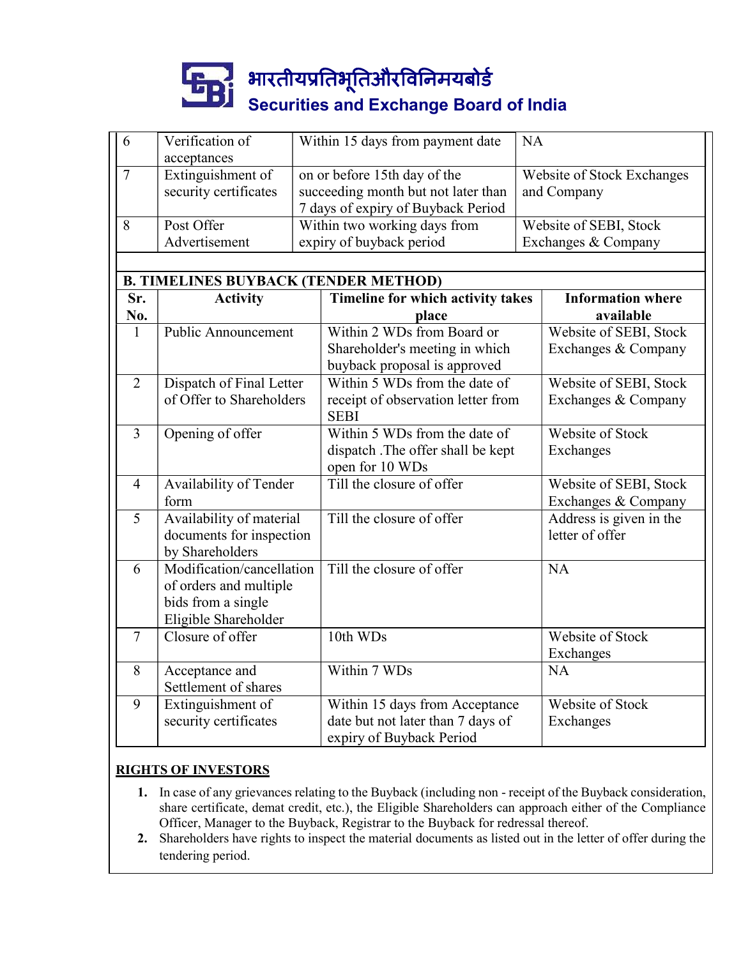# Securities and Exchange Board of India

|                |                                                                                                   |  | भारतीयप्रतिभूतिऔरविनिमयबोर्ड<br><b>Securities and Exchange Board of India</b>                             |           |                                               |  |
|----------------|---------------------------------------------------------------------------------------------------|--|-----------------------------------------------------------------------------------------------------------|-----------|-----------------------------------------------|--|
| 6              | Verification of                                                                                   |  | Within 15 days from payment date                                                                          | <b>NA</b> |                                               |  |
| $\overline{7}$ | acceptances<br>Extinguishment of<br>security certificates                                         |  | on or before 15th day of the<br>succeeding month but not later than<br>7 days of expiry of Buyback Period |           | Website of Stock Exchanges<br>and Company     |  |
| 8              | Post Offer<br>Advertisement                                                                       |  | Within two working days from<br>expiry of buyback period                                                  |           | Website of SEBI, Stock<br>Exchanges & Company |  |
| Sr.<br>No.     | <b>B. TIMELINES BUYBACK (TENDER METHOD)</b><br><b>Activity</b>                                    |  | Timeline for which activity takes<br>place                                                                |           | <b>Information where</b><br>available         |  |
| 1              | <b>Public Announcement</b>                                                                        |  | Within 2 WDs from Board or<br>Shareholder's meeting in which<br>buyback proposal is approved              |           | Website of SEBI, Stock<br>Exchanges & Company |  |
| $\overline{2}$ | Dispatch of Final Letter<br>of Offer to Shareholders                                              |  | Within 5 WDs from the date of<br>receipt of observation letter from<br><b>SEBI</b>                        |           | Website of SEBI, Stock<br>Exchanges & Company |  |
| 3              | Opening of offer                                                                                  |  | Within 5 WDs from the date of<br>dispatch .The offer shall be kept<br>open for 10 WDs                     |           | Website of Stock<br>Exchanges                 |  |
| $\overline{4}$ | Availability of Tender<br>form                                                                    |  | Till the closure of offer                                                                                 |           | Website of SEBI, Stock<br>Exchanges & Company |  |
| 5              | Availability of material<br>documents for inspection<br>by Shareholders                           |  | Till the closure of offer                                                                                 |           | Address is given in the<br>letter of offer    |  |
| 6              | Modification/cancellation<br>of orders and multiple<br>bids from a single<br>Eligible Shareholder |  | Till the closure of offer                                                                                 |           | <b>NA</b>                                     |  |
| $\overline{7}$ | Closure of offer                                                                                  |  | 10th WDs                                                                                                  |           | Website of Stock<br>Exchanges                 |  |
| 8              | Acceptance and<br>Settlement of shares                                                            |  | Within 7 WDs                                                                                              |           | <b>NA</b>                                     |  |
| 9              | Extinguishment of<br>security certificates                                                        |  | Within 15 days from Acceptance<br>date but not later than 7 days of                                       |           | Website of Stock<br>Exchanges                 |  |

#### RIGHTS OF INVESTORS

- 1. In case of any grievances relating to the Buyback (including non receipt of the Buyback consideration, share certificate, demat credit, etc.), the Eligible Shareholders can approach either of the Compliance Officer, Manager to the Buyback, Registrar to the Buyback for redressal thereof.
- 2. Shareholders have rights to inspect the material documents as listed out in the letter of offer during the tendering period.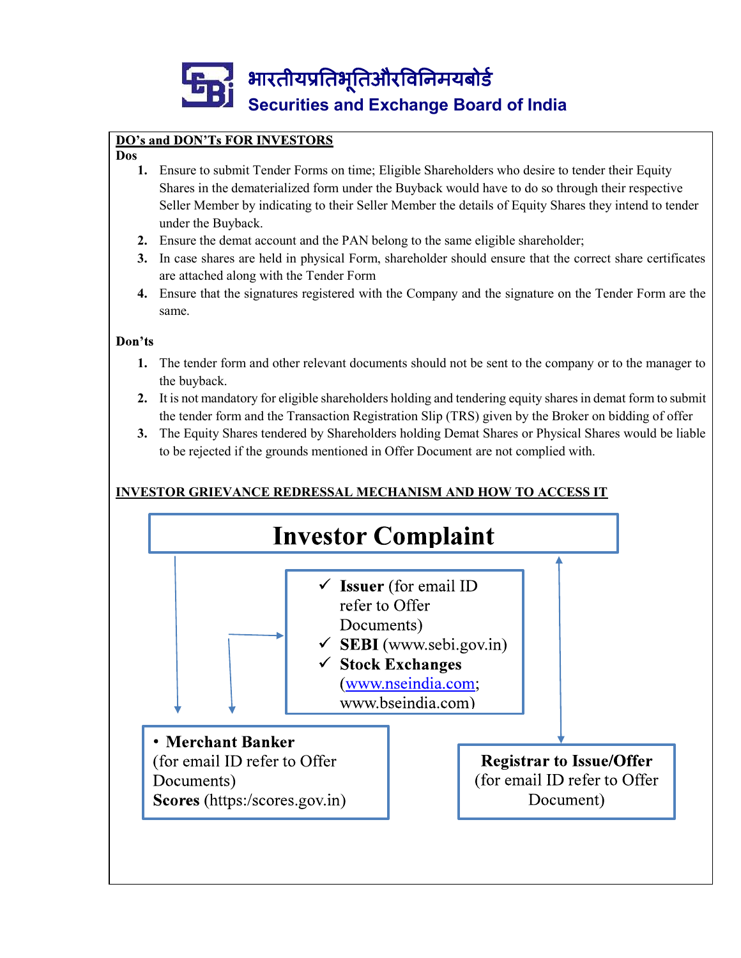

#### Dos

- 1. Ensure to submit Tender Forms on time; Eligible Shareholders who desire to tender their Equity Shares in the dematerialized form under the Buyback would have to do so through their respective Seller Member by indicating to their Seller Member the details of Equity Shares they intend to tender under the Buyback. In DON" Is FOR INVESTORS<br>
Ensure to submit Tender Forms on time; Eligible Shareholders who desire to tender their Equity<br>
Shares in the dematrailized form under the Buyback would have to do so through their respective<br>
Sce
- 2. Ensure the demat account and the PAN belong to the same eligible shareholder;
- 3. In case shares are held in physical Form, shareholder should ensure that the correct share certificates are attached along with the Tender Form
- 4. Ensure that the signatures registered with the Company and the signature on the Tender Form are the same.

#### Don'ts

- 1. The tender form and other relevant documents should not be sent to the company or to the manager to the buyback.
- 2. It is not mandatory for eligible shareholders holding and tendering equity shares in demat form to submit the tender form and the Transaction Registration Slip (TRS) given by the Broker on bidding of offer
- 3. The Equity Shares tendered by Shareholders holding Demat Shares or Physical Shares would be liable

### INVESTOR GRIEVANCE REDRESSAL MECHANISM AND HOW TO ACCESS IT

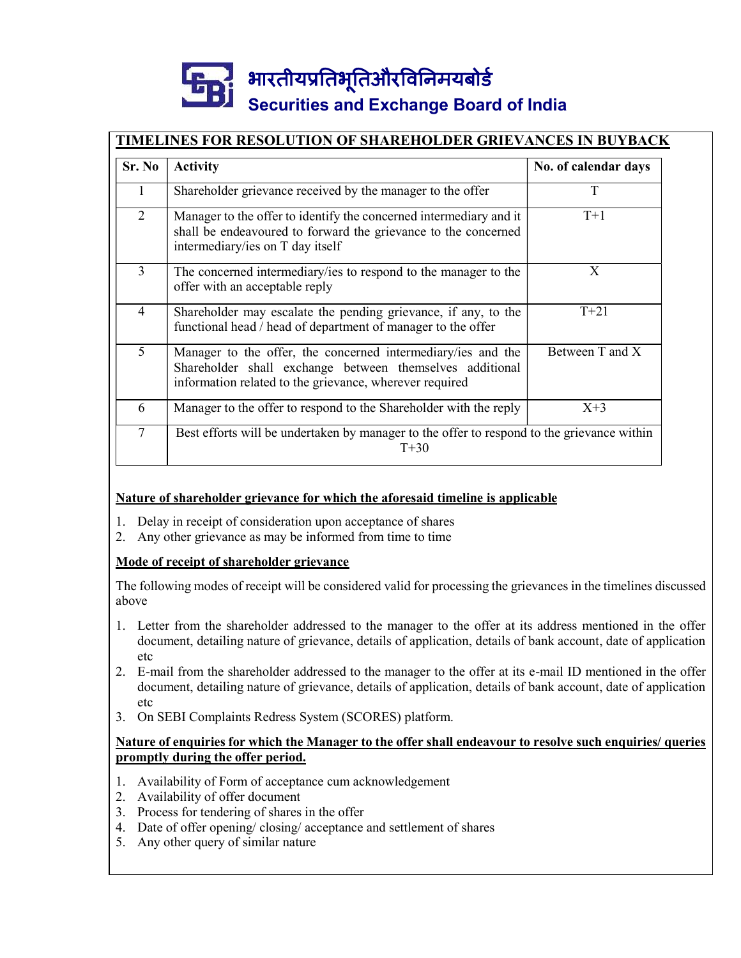# Securities and Exchange Board of India

## TIMELINES FOR RESOLUTION OF SHAREHOLDER GRIEVANCES IN BUYBACK

|                                  | <b>TIMELINES FOR RESOLUTION OF SHAREHOLDER GRIEVANCES IN BUYBACK</b>                                                                                                                                                          |                           |
|----------------------------------|-------------------------------------------------------------------------------------------------------------------------------------------------------------------------------------------------------------------------------|---------------------------|
| Sr. No                           | <b>Activity</b><br>Shareholder grievance received by the manager to the offer                                                                                                                                                 | No. of calendar days<br>T |
| 1<br>$\overline{2}$              | Manager to the offer to identify the concerned intermediary and it<br>shall be endeavoured to forward the grievance to the concerned<br>intermediary/ies on T day itself                                                      | $T+1$                     |
| $\overline{3}$                   | The concerned intermediary/ies to respond to the manager to the<br>offer with an acceptable reply                                                                                                                             | X                         |
| 4                                | Shareholder may escalate the pending grievance, if any, to the<br>functional head / head of department of manager to the offer                                                                                                | $T+21$                    |
| 5                                | Manager to the offer, the concerned intermediary/ies and the<br>Shareholder shall exchange between themselves additional<br>information related to the grievance, wherever required                                           | Between T and X           |
| 6                                | Manager to the offer to respond to the Shareholder with the reply                                                                                                                                                             | $X+3$                     |
| $\tau$                           | Best efforts will be undertaken by manager to the offer to respond to the grievance within<br>$T+30$                                                                                                                          |                           |
|                                  | Nature of shareholder grievance for which the aforesaid timeline is applicable                                                                                                                                                |                           |
|                                  | 1. Delay in receipt of consideration upon acceptance of shares<br>2. Any other grievance as may be informed from time to time                                                                                                 |                           |
|                                  | Mode of receipt of shareholder grievance                                                                                                                                                                                      |                           |
| above                            | The following modes of receipt will be considered valid for processing the grievances in the timelines discussed                                                                                                              |                           |
| etc                              | 1. Letter from the shareholder addressed to the manager to the offer at its address mentioned in the offer<br>document, detailing nature of grievance, details of application, details of bank account, date of application   |                           |
|                                  | 2. E-mail from the shareholder addressed to the manager to the offer at its e-mail ID mentioned in the offer<br>document, detailing nature of grievance, details of application, details of bank account, date of application |                           |
| etc                              | 3. On SEBI Complaints Redress System (SCORES) platform.                                                                                                                                                                       |                           |
|                                  | Nature of enquiries for which the Manager to the offer shall endeavour to resolve such enquiries/ queries<br>promptly during the offer period.                                                                                |                           |
| 2 Availability of offer document | 1. Availability of Form of acceptance cum acknowledgement                                                                                                                                                                     |                           |

#### Nature of shareholder grievance for which the aforesaid timeline is applicable

- 
- 

#### Mode of receipt of shareholder grievance

- 1. Letter from the shareholder addressed to the manager to the offer at its address mentioned in the offer document, detailing nature of grievance, details of application, details of bank account, date of application etc Nature of shareholder grievance for which the aforesaid timeline is applicab<sup>1</sup><br>
1. Delay in receipt of consideration upon acceptance of shares<br>
2. Any other grievance as may be informed from time to time<br> **Mode of receipt** Nature of shareholder grievance for which the aforesaid timeline is applic<br>
2. Delay in receipt of consideration upon acceptance of shares<br>
2. Any other grievance as may be informed from time to time<br> **Mode of receipt of s** Stature of shareholder grievance for which the aloresaid unifinite is applied<br>
1. Delay in receipt of consideration upon acceptance of shares<br>
2. Any other grievance as may be informed from time to time<br> **Mode of receipt o** 1. Delay in receipt of consideration upon acceptance of shares<br>
2. Any other grievance as may be informed from time to time<br> **Mode of receipt of shareholder grievance**<br>
1. Letter from the shareholder **are example to the st** 2. Any other grievance as may be informed from time to time<br> **Mode of receipt of shareholder grievance**<br>
The following modes of receipt will be considered valid for processing the grie<br>
above<br>
1. Letter from the shareholde
- document, detailing nature of grievance, details of application, details of bank account, date of application etc
- 

#### Nature of enquiries for which the Manager to the offer shall endeavour to resolve such enquiries/ queries promptly during the offer period.

- 
- 
- 
- 
-